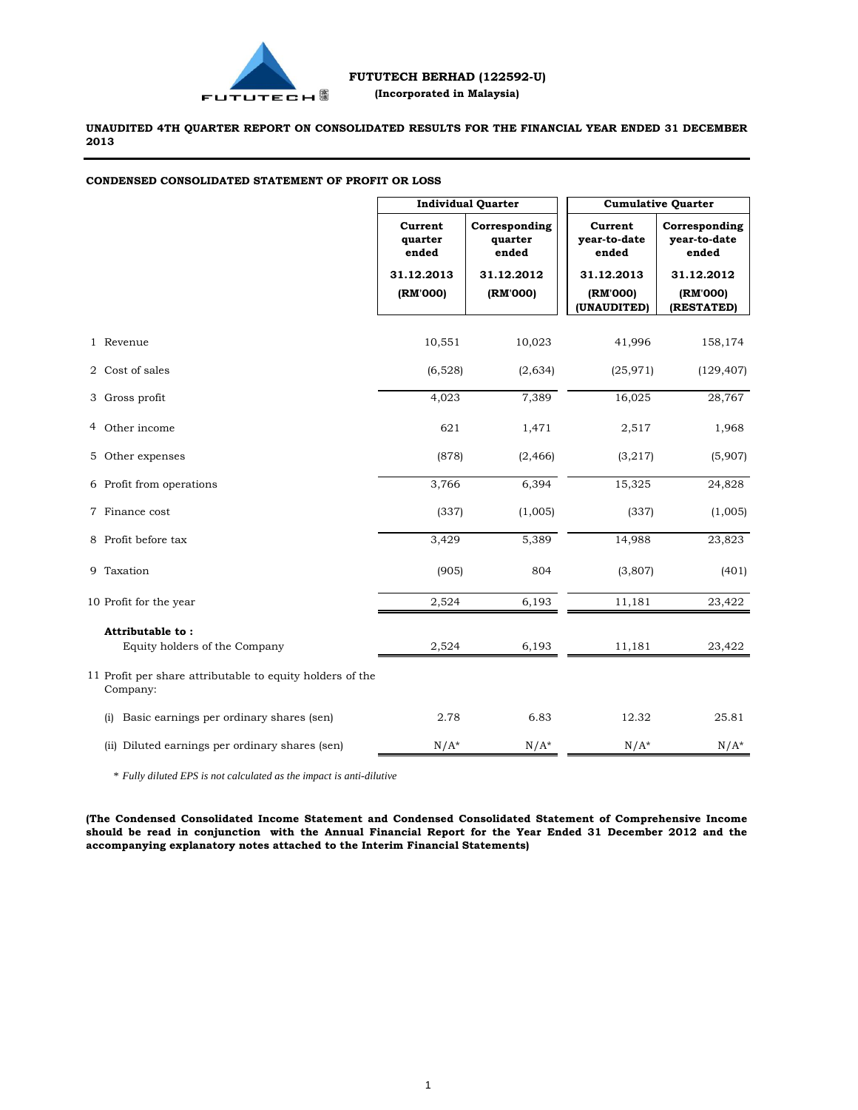

**UNAUDITED 4TH QUARTER REPORT ON CONSOLIDATED RESULTS FOR THE FINANCIAL YEAR ENDED 31 DECEMBER 2013**

| <b>CONDENSED CONSOLIDATED STATEMENT OF PROFIT OR LOSS</b> |  |  |  |
|-----------------------------------------------------------|--|--|--|
|                                                           |  |  |  |

|                                                                       | <b>Individual Quarter</b>   |                                   | <b>Cumulative Quarter</b>        |                                        |  |
|-----------------------------------------------------------------------|-----------------------------|-----------------------------------|----------------------------------|----------------------------------------|--|
|                                                                       | Current<br>quarter<br>ended | Corresponding<br>quarter<br>ended | Current<br>year-to-date<br>ended | Corresponding<br>vear-to-date<br>ended |  |
|                                                                       | 31.12.2013                  | 31.12.2012                        | 31.12.2013                       | 31.12.2012                             |  |
|                                                                       | (RM'000)                    | (RM'000)                          | (RM'000)<br>(UNAUDITED)          | (RM'000)<br>(RESTATED)                 |  |
| 1 Revenue                                                             | 10,551                      | 10,023                            | 41,996                           | 158,174                                |  |
| 2 Cost of sales                                                       | (6,528)                     | (2,634)                           | (25, 971)                        | (129, 407)                             |  |
| 3 Gross profit                                                        | 4,023                       | 7,389                             | 16,025                           | 28,767                                 |  |
| 4 Other income                                                        | 621                         | 1,471                             | 2,517                            | 1,968                                  |  |
| 5 Other expenses                                                      | (878)                       | (2, 466)                          | (3,217)                          | (5,907)                                |  |
| 6 Profit from operations                                              | 3,766                       | 6,394                             | 15,325                           | 24,828                                 |  |
| 7 Finance cost                                                        | (337)                       | (1,005)                           | (337)                            | (1,005)                                |  |
| 8 Profit before tax                                                   | 3,429                       | 5,389                             | 14,988                           | 23,823                                 |  |
| 9 Taxation                                                            | (905)                       | 804                               | (3,807)                          | (401)                                  |  |
| 10 Profit for the year                                                | 2,524                       | 6,193                             | 11,181                           | 23,422                                 |  |
| Attributable to:                                                      |                             |                                   |                                  |                                        |  |
| Equity holders of the Company                                         | 2,524                       | 6,193                             | 11,181                           | 23,422                                 |  |
| 11 Profit per share attributable to equity holders of the<br>Company: |                             |                                   |                                  |                                        |  |
| Basic earnings per ordinary shares (sen)<br>(i)                       | 2.78                        | 6.83                              | 12.32                            | 25.81                                  |  |
| (ii) Diluted earnings per ordinary shares (sen)                       | $N/A^*$                     | $N/A^*$                           | $N/A^*$                          | $N/A^*$                                |  |

\* *Fully diluted EPS is not calculated as the impact is anti-dilutive*

**(The Condensed Consolidated Income Statement and Condensed Consolidated Statement of Comprehensive Income** should be read in conjunction with the Annual Financial Report for the Year Ended 31 December 2012 and the **accompanying explanatory notes attached to the Interim Financial Statements)**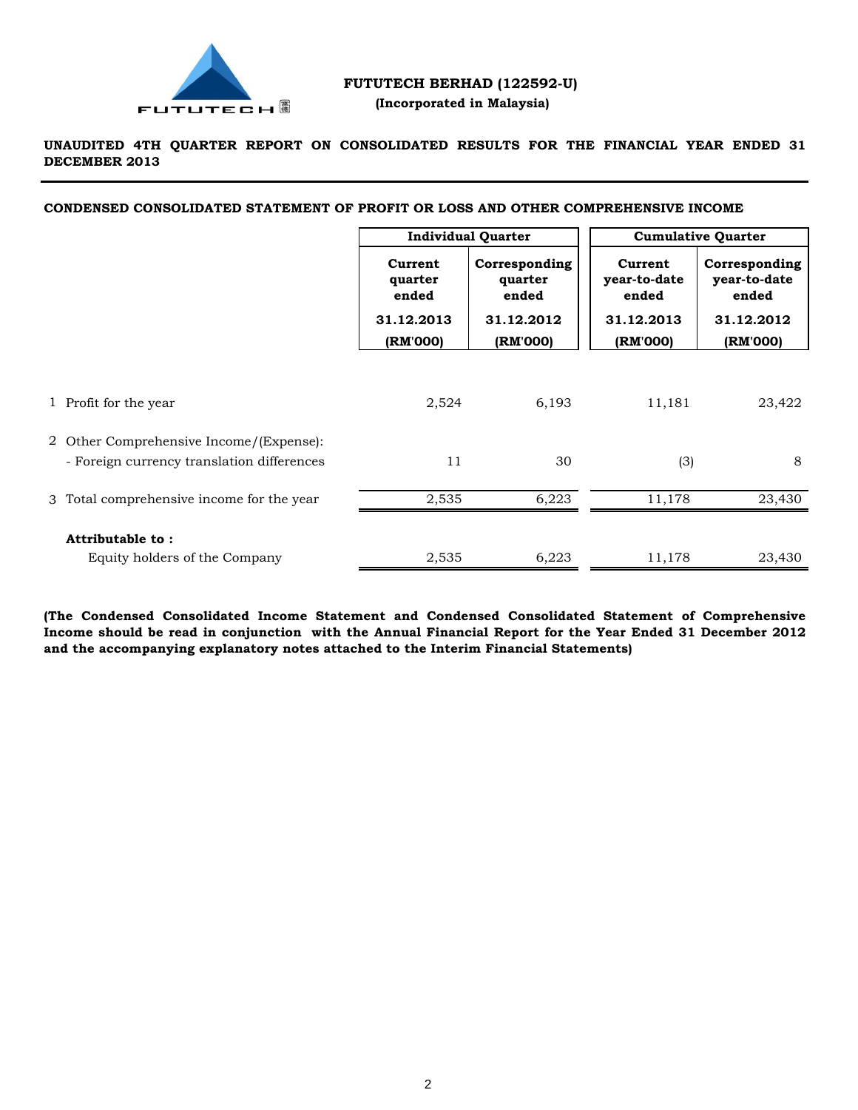

# **FUTUTECH BERHAD (122592-U) (Incorporated in Malaysia)**

# **UNAUDITED 4TH QUARTER REPORT ON CONSOLIDATED RESULTS FOR THE FINANCIAL YEAR ENDED 31 DECEMBER 2013**

**CONDENSED CONSOLIDATED STATEMENT OF PROFIT OR LOSS AND OTHER COMPREHENSIVE INCOME**

|                                                                                       | <b>Individual Quarter</b>   |                                   | <b>Cumulative Quarter</b>        |                                        |
|---------------------------------------------------------------------------------------|-----------------------------|-----------------------------------|----------------------------------|----------------------------------------|
|                                                                                       | Current<br>quarter<br>ended | Corresponding<br>quarter<br>ended | Current<br>year-to-date<br>ended | Corresponding<br>year-to-date<br>ended |
|                                                                                       | 31.12.2013                  | 31.12.2012                        | 31.12.2013                       | 31.12.2012                             |
|                                                                                       | (RM'000)                    | (RM'000)                          | (RM'000)                         | (RM'000)                               |
| 1 Profit for the year                                                                 | 2,524                       | 6,193                             | 11,181                           | 23,422                                 |
| 2 Other Comprehensive Income/(Expense):<br>- Foreign currency translation differences | 11                          | 30                                | (3)                              | 8                                      |
| 3 Total comprehensive income for the year                                             | 2,535                       | 6,223                             | 11,178                           | 23,430                                 |
| Attributable to:                                                                      |                             |                                   |                                  |                                        |
| Equity holders of the Company                                                         | 2,535                       | 6,223                             | 11,178                           | 23,430                                 |

**(The Condensed Consolidated Income Statement and Condensed Consolidated Statement of Comprehensive** Income should be read in conjunction with the Annual Financial Report for the Year Ended 31 December 2012 **and the accompanying explanatory notes attached to the Interim Financial Statements)**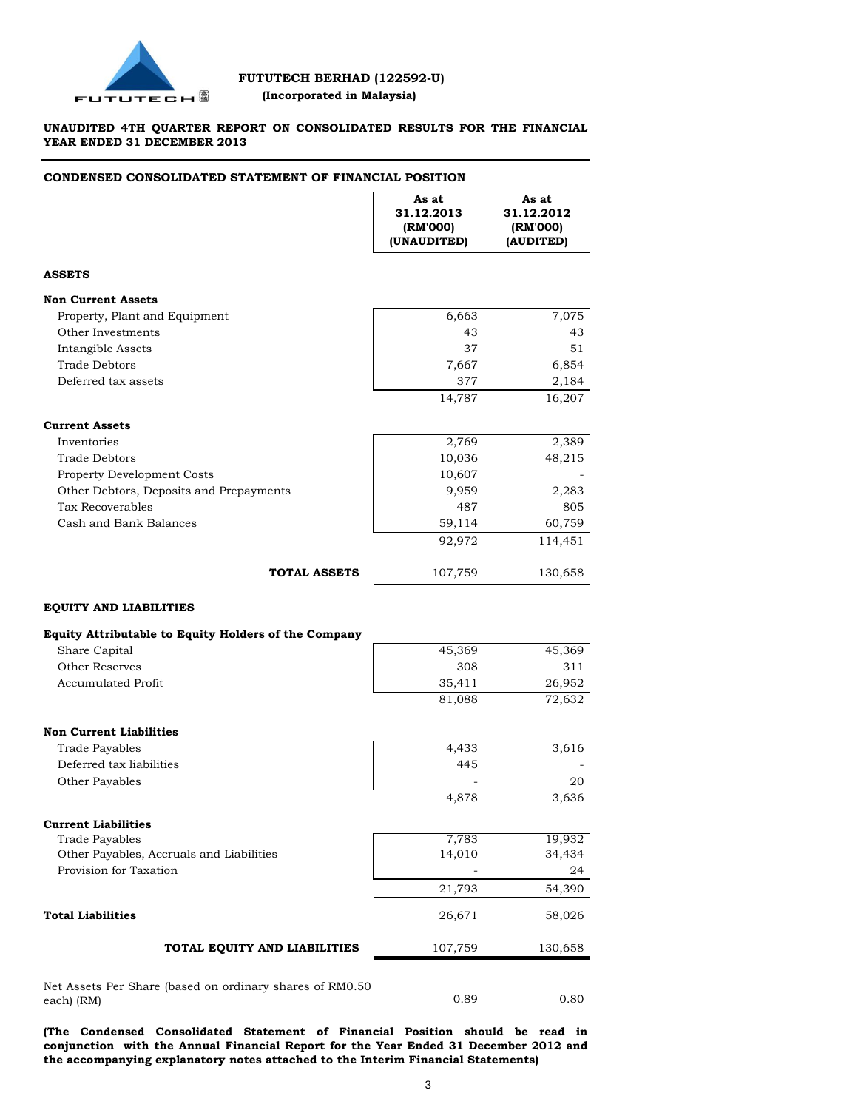

# **UNAUDITED 4TH QUARTER REPORT ON CONSOLIDATED RESULTS FOR THE FINANCIAL YEAR ENDED 31 DECEMBER 2013**

# **CONDENSED CONSOLIDATED STATEMENT OF FINANCIAL POSITION**

|                                                      | As at<br>31.12.2013<br>(RM'000)<br>(UNAUDITED) | As at<br>31.12.2012<br>(RM'000)<br>(AUDITED) |
|------------------------------------------------------|------------------------------------------------|----------------------------------------------|
| <b>ASSETS</b>                                        |                                                |                                              |
| <b>Non Current Assets</b>                            |                                                |                                              |
| Property, Plant and Equipment                        | 6,663                                          | 7,075                                        |
| Other Investments                                    | 43                                             | 43                                           |
| Intangible Assets                                    | 37                                             | 51                                           |
| <b>Trade Debtors</b>                                 | 7,667                                          | 6,854                                        |
| Deferred tax assets                                  | 377                                            | 2,184                                        |
|                                                      | 14,787                                         | 16,207                                       |
| <b>Current Assets</b>                                |                                                |                                              |
| Inventories                                          | 2,769                                          | 2,389                                        |
| Trade Debtors                                        | 10,036                                         | 48,215                                       |
| <b>Property Development Costs</b>                    | 10,607                                         |                                              |
| Other Debtors, Deposits and Prepayments              | 9,959                                          | 2,283                                        |
| Tax Recoverables                                     | 487                                            | 805                                          |
| Cash and Bank Balances                               | 59,114                                         | 60,759                                       |
|                                                      | 92,972                                         | 114,451                                      |
| <b>TOTAL ASSETS</b>                                  | 107,759                                        | 130,658                                      |
|                                                      |                                                |                                              |
| <b>EQUITY AND LIABILITIES</b>                        |                                                |                                              |
| Equity Attributable to Equity Holders of the Company |                                                |                                              |
| Share Capital                                        | 45,369                                         | 45,369                                       |
| Other Reserves                                       | 308                                            | 311                                          |
| <b>Accumulated Profit</b>                            | 35,411                                         | 26,952                                       |
|                                                      | 81,088                                         | 72,632                                       |
| <b>Non Current Liabilities</b>                       |                                                |                                              |
| Trade Payables                                       | 4,433                                          | 3,616                                        |
| Deferred tax liabilities                             | 445                                            |                                              |
| Other Payables                                       |                                                | 20                                           |
|                                                      | 4,878                                          | 3,636                                        |
| <b>Current Liabilities</b>                           |                                                |                                              |
| <b>Trade Payables</b>                                | 7,783                                          | 19,932                                       |
| Other Payables, Accruals and Liabilities             | 14,010                                         | 34,434                                       |
| Provision for Taxation                               |                                                | 24                                           |
|                                                      | 21,793                                         | 54,390                                       |
| <b>Total Liabilities</b>                             | 26,671                                         | 58,026                                       |

Net Assets Per Share (based on ordinary shares of RM0.50 each) (RM)

**(The Condensed Consolidated Statement of Financial Position should be read in conjunction with the Annual Financial Report for the Year Ended 31 December 2012 and the accompanying explanatory notes attached to the Interim Financial Statements)**

0.89 0.80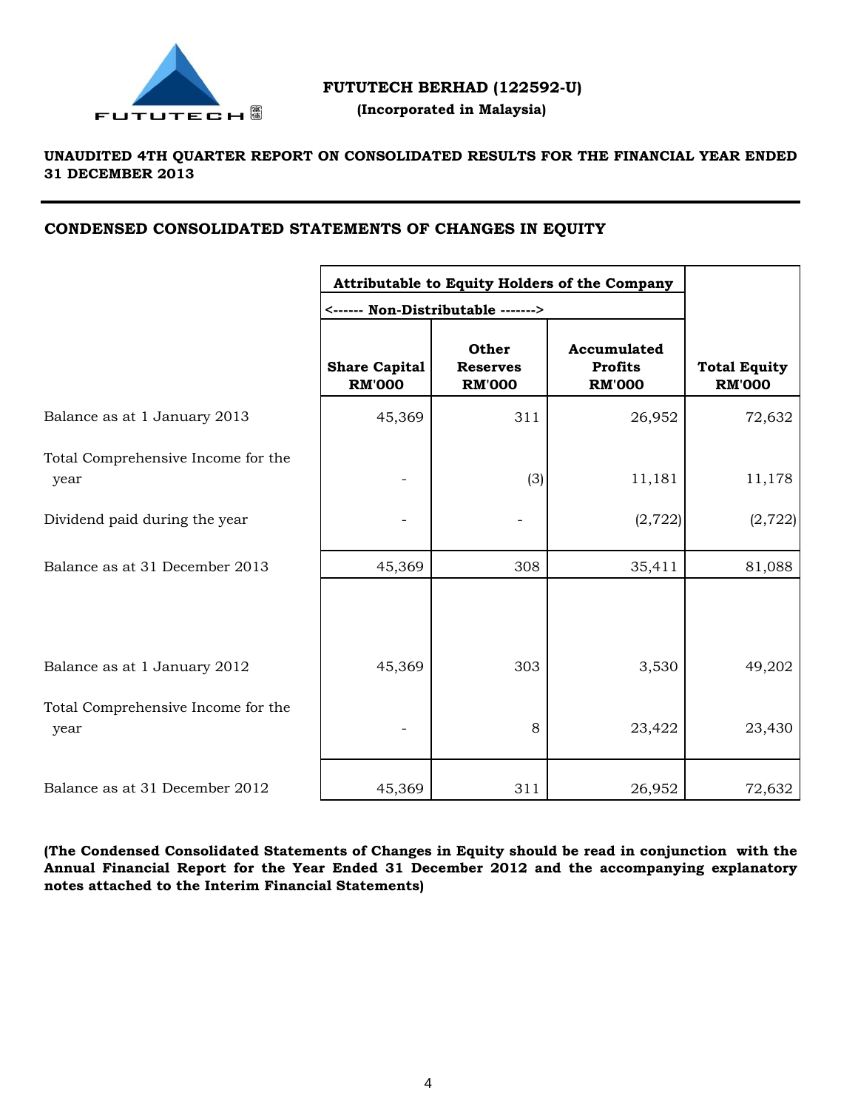

# **FUTUTECH BERHAD (122592-U)**

 **(Incorporated in Malaysia)**

# **UNAUDITED 4TH QUARTER REPORT ON CONSOLIDATED RESULTS FOR THE FINANCIAL YEAR ENDED 31 DECEMBER 2013**

# **CONDENSED CONSOLIDATED STATEMENTS OF CHANGES IN EQUITY**

|                                            | Attributable to Equity Holders of the Company |                                                                                 |                                                |                                      |
|--------------------------------------------|-----------------------------------------------|---------------------------------------------------------------------------------|------------------------------------------------|--------------------------------------|
|                                            | <b>Share Capital</b><br><b>RM'000</b>         | <------ Non-Distributable -------><br>Other<br><b>Reserves</b><br><b>RM'000</b> | Accumulated<br><b>Profits</b><br><b>RM'000</b> | <b>Total Equity</b><br><b>RM'000</b> |
| Balance as at 1 January 2013               | 45,369                                        | 311                                                                             | 26,952                                         | 72,632                               |
| Total Comprehensive Income for the<br>year |                                               | (3)                                                                             | 11,181                                         | 11,178                               |
| Dividend paid during the year              |                                               |                                                                                 | (2, 722)                                       | (2, 722)                             |
| Balance as at 31 December 2013             | 45,369                                        | 308                                                                             | 35,411                                         | 81,088                               |
|                                            |                                               |                                                                                 |                                                |                                      |
| Balance as at 1 January 2012               | 45,369                                        | 303                                                                             | 3,530                                          | 49,202                               |
| Total Comprehensive Income for the<br>year |                                               | 8                                                                               | 23,422                                         | 23,430                               |
| Balance as at 31 December 2012             | 45,369                                        | 311                                                                             | 26,952                                         | 72,632                               |

**(The Condensed Consolidated Statements of Changes in Equity should be read in conjunction with the Annual Financial Report for the Year Ended 31 December 2012 and the accompanying explanatory notes attached to the Interim Financial Statements)**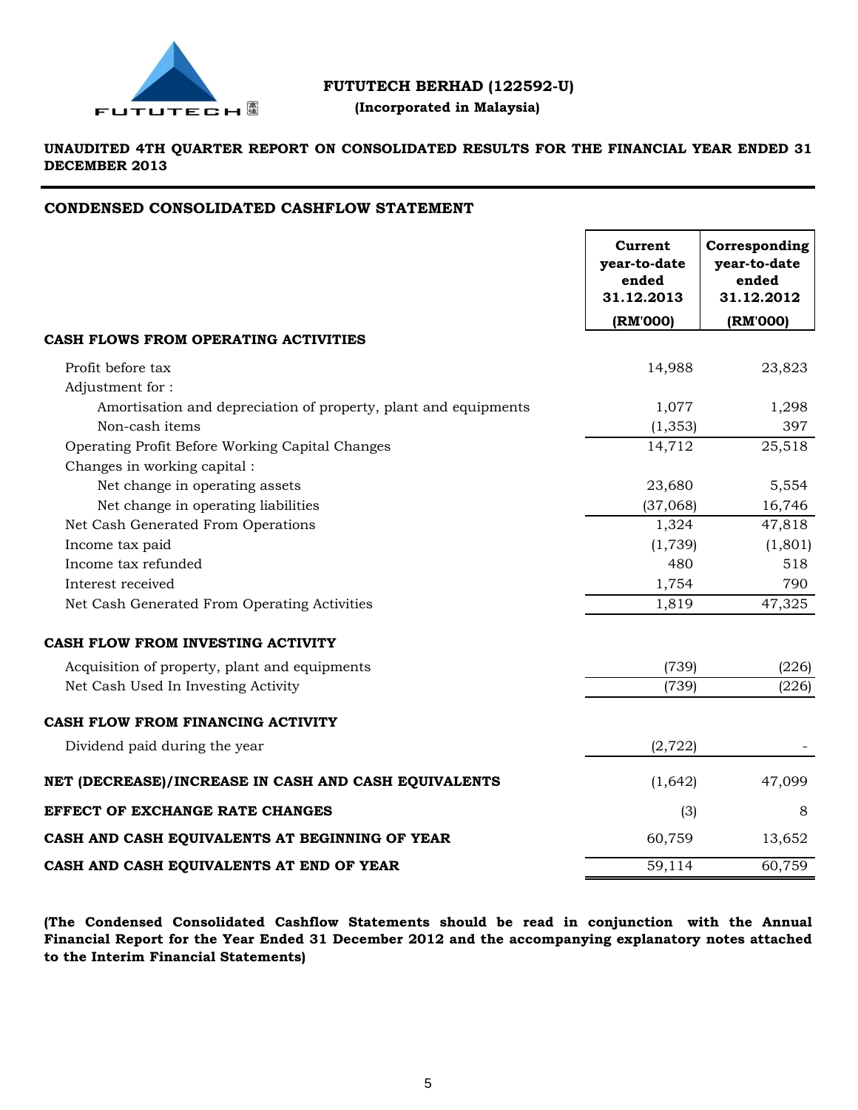

# **FUTUTECH BERHAD (122592-U)**

# **(Incorporated in Malaysia)**

# **UNAUDITED 4TH QUARTER REPORT ON CONSOLIDATED RESULTS FOR THE FINANCIAL YEAR ENDED 31 DECEMBER 2013**

# **CONDENSED CONSOLIDATED CASHFLOW STATEMENT**

|                                                                 | Current<br>year-to-date<br>ended<br>31.12.2013 | Corresponding<br>year-to-date<br>ended<br>31.12.2012 |
|-----------------------------------------------------------------|------------------------------------------------|------------------------------------------------------|
|                                                                 | (RM'000)                                       | (RM'000)                                             |
| CASH FLOWS FROM OPERATING ACTIVITIES                            |                                                |                                                      |
| Profit before tax                                               | 14,988                                         | 23,823                                               |
| Adjustment for:                                                 |                                                |                                                      |
| Amortisation and depreciation of property, plant and equipments | 1,077                                          | 1,298                                                |
| Non-cash items                                                  | (1, 353)                                       | 397                                                  |
| Operating Profit Before Working Capital Changes                 | 14,712                                         | 25,518                                               |
| Changes in working capital :                                    |                                                |                                                      |
| Net change in operating assets                                  | 23,680                                         | 5,554                                                |
| Net change in operating liabilities                             | (37,068)                                       | 16,746                                               |
| Net Cash Generated From Operations                              | 1,324                                          | 47,818                                               |
| Income tax paid                                                 | (1,739)                                        | (1,801)                                              |
| Income tax refunded                                             | 480                                            | 518                                                  |
| Interest received                                               | 1,754                                          | 790                                                  |
| Net Cash Generated From Operating Activities                    | 1,819                                          | 47,325                                               |
| CASH FLOW FROM INVESTING ACTIVITY                               |                                                |                                                      |
| Acquisition of property, plant and equipments                   | (739)                                          | (226)                                                |
| Net Cash Used In Investing Activity                             | (739)                                          | (226)                                                |
| CASH FLOW FROM FINANCING ACTIVITY                               |                                                |                                                      |
| Dividend paid during the year                                   | (2, 722)                                       |                                                      |
| NET (DECREASE)/INCREASE IN CASH AND CASH EQUIVALENTS            | (1,642)                                        | 47,099                                               |
| EFFECT OF EXCHANGE RATE CHANGES                                 | (3)                                            | 8                                                    |
| CASH AND CASH EQUIVALENTS AT BEGINNING OF YEAR                  | 60,759                                         | 13,652                                               |
| CASH AND CASH EQUIVALENTS AT END OF YEAR                        | 59,114                                         | 60,759                                               |

**(The Condensed Consolidated Cashflow Statements should be read in conjunction with the Annual Financial Report for the Year Ended 31 December 2012 and the accompanying explanatory notes attached to the Interim Financial Statements)**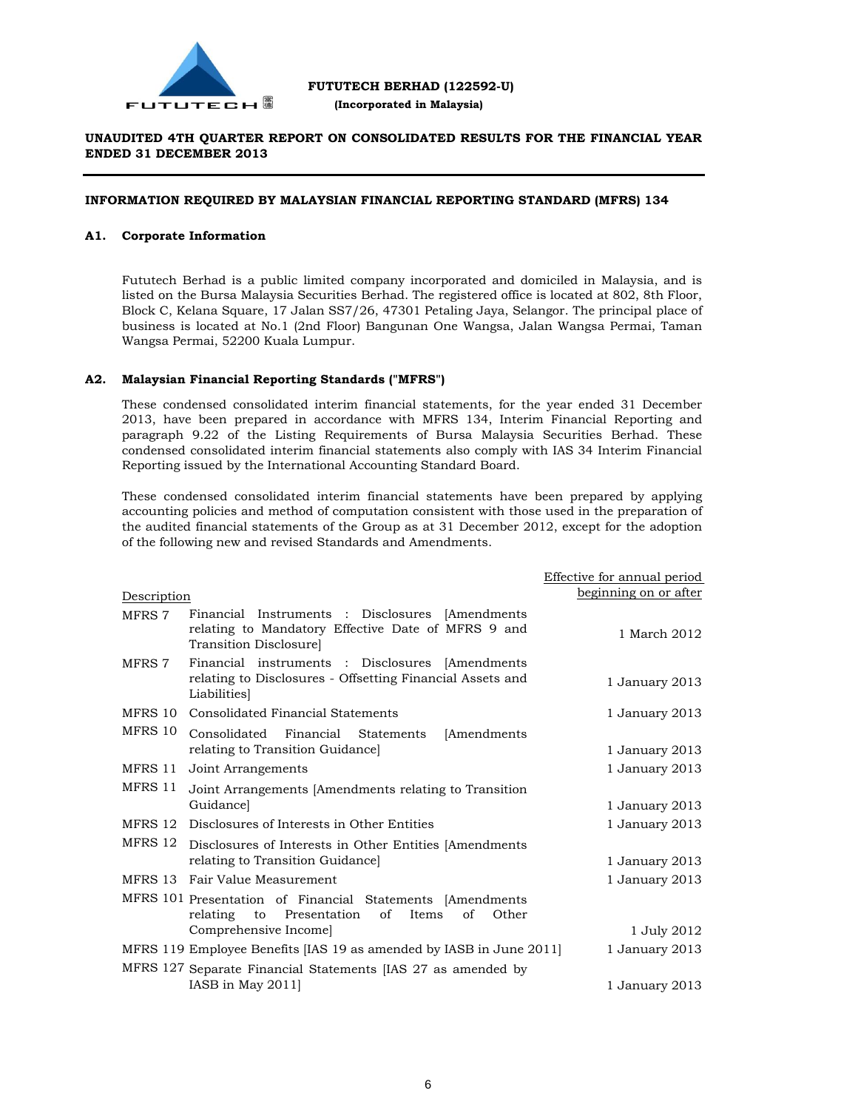

 **(Incorporated in Malaysia)**

# **UNAUDITED 4TH QUARTER REPORT ON CONSOLIDATED RESULTS FOR THE FINANCIAL YEAR ENDED 31 DECEMBER 2013**

# **INFORMATION REQUIRED BY MALAYSIAN FINANCIAL REPORTING STANDARD (MFRS) 134**

### **A1. Corporate Information**

Fututech Berhad is a public limited company incorporated and domiciled in Malaysia, and is listed on the Bursa Malaysia Securities Berhad. The registered office is located at 802, 8th Floor, Block C, Kelana Square, 17 Jalan SS7/26, 47301 Petaling Jaya, Selangor. The principal place of business is located at No.1 (2nd Floor) Bangunan One Wangsa, Jalan Wangsa Permai, Taman Wangsa Permai, 52200 Kuala Lumpur.

### **A2. Malaysian Financial Reporting Standards ("MFRS")**

These condensed consolidated interim financial statements, for the year ended 31 December 2013, have been prepared in accordance with MFRS 134, Interim Financial Reporting and paragraph 9.22 of the Listing Requirements of Bursa Malaysia Securities Berhad. These condensed consolidated interim financial statements also comply with IAS 34 Interim Financial Reporting issued by the International Accounting Standard Board.

These condensed consolidated interim financial statements have been prepared by applying accounting policies and method of computation consistent with those used in the preparation of the audited financial statements of the Group as at 31 December 2012, except for the adoption of the following new and revised Standards and Amendments.

|             |                                                                                                                                 | Effective for annual period |
|-------------|---------------------------------------------------------------------------------------------------------------------------------|-----------------------------|
| Description |                                                                                                                                 | beginning on or after       |
| MFRS 7      | Financial Instruments : Disclosures [Amendments]<br>relating to Mandatory Effective Date of MFRS 9 and<br>Transition Disclosure | 1 March 2012                |
| MFRS 7      | Financial instruments : Disclosures [Amendments]<br>relating to Disclosures - Offsetting Financial Assets and<br>Liabilities    | 1 January 2013              |
| MFRS 10     | Consolidated Financial Statements                                                                                               | 1 January 2013              |
| MFRS 10     | Consolidated Financial Statements<br>[Amendments]                                                                               |                             |
|             | relating to Transition Guidance                                                                                                 | 1 January 2013              |
| MFRS 11     | Joint Arrangements                                                                                                              | 1 January 2013              |
| MFRS 11     | Joint Arrangements [Amendments relating to Transition                                                                           |                             |
|             | Guidancel                                                                                                                       | 1 January 2013              |
| MFRS 12     | Disclosures of Interests in Other Entities                                                                                      | 1 January 2013              |
| MFRS 12     | Disclosures of Interests in Other Entities [Amendments]                                                                         |                             |
|             | relating to Transition Guidance]                                                                                                | 1 January 2013              |
|             | MFRS 13 Fair Value Measurement                                                                                                  | 1 January 2013              |
|             | MFRS 101 Presentation of Financial Statements [Amendments<br>to Presentation<br>of<br>Items<br>of<br>Other<br>relating          |                             |
|             | Comprehensive Income                                                                                                            | 1 July 2012                 |
|             | MFRS 119 Employee Benefits [IAS 19 as amended by IASB in June 2011]                                                             | 1 January 2013              |
|             | MFRS 127 Separate Financial Statements [IAS 27 as amended by                                                                    |                             |
|             | IASB in May $2011$                                                                                                              | 1 January 2013              |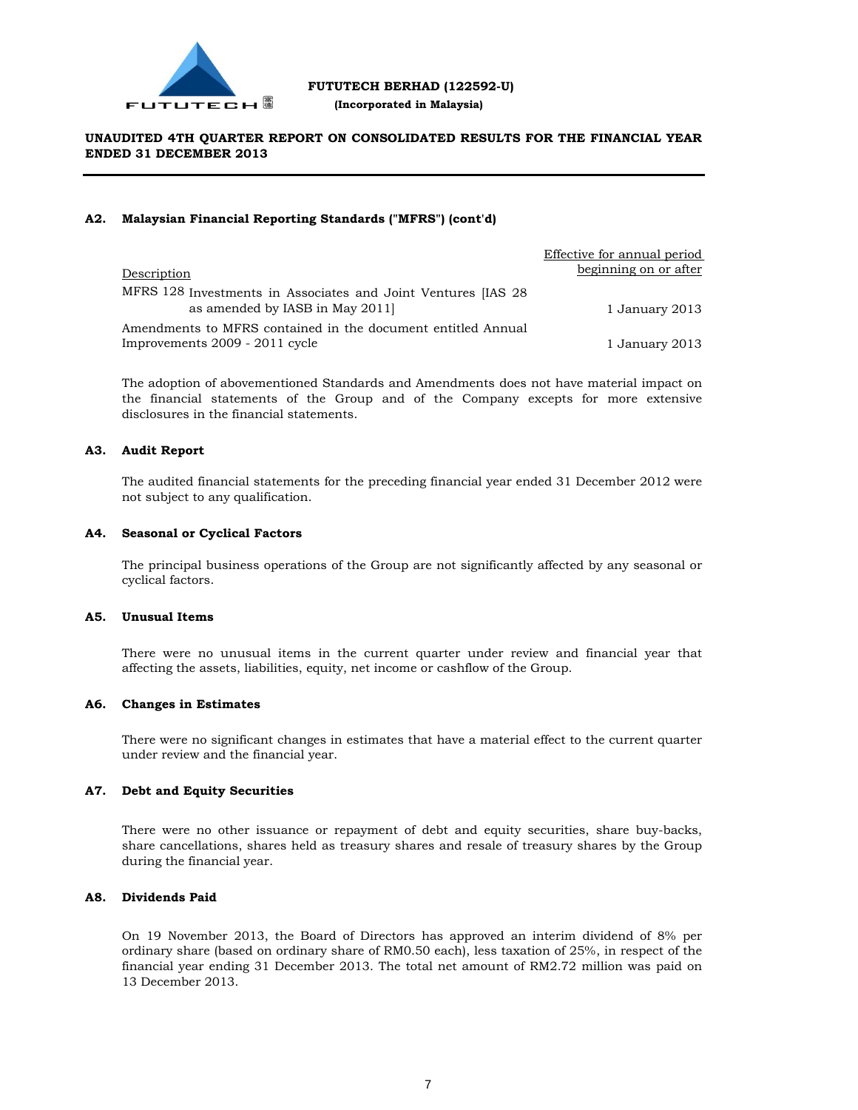

# **FUTUTECH BERHAD (122592-U)**

 **(Incorporated in Malaysia)**

# **UNAUDITED 4TH QUARTER REPORT ON CONSOLIDATED RESULTS FOR THE FINANCIAL YEAR ENDED 31 DECEMBER 2013**

# **A2. Malaysian Financial Reporting Standards ("MFRS") (cont'd)**

|                                                                                                 | Effective for annual period |
|-------------------------------------------------------------------------------------------------|-----------------------------|
| Description                                                                                     | beginning on or after       |
| MFRS 128 Investments in Associates and Joint Ventures [IAS 28<br>as amended by IASB in May 2011 | 1 January 2013              |
| Amendments to MFRS contained in the document entitled Annual                                    |                             |
| Improvements 2009 - 2011 cycle                                                                  | 1 January 2013              |

The adoption of abovementioned Standards and Amendments does not have material impact on the financial statements of the Group and of the Company excepts for more extensive disclosures in the financial statements.

# **A3. Audit Report**

The audited financial statements for the preceding financial year ended 31 December 2012 were not subject to any qualification.

# **A4. Seasonal or Cyclical Factors**

The principal business operations of the Group are not significantly affected by any seasonal or cyclical factors.

# **A5. Unusual Items**

There were no unusual items in the current quarter under review and financial year that affecting the assets, liabilities, equity, net income or cashflow of the Group.

### **A6. Changes in Estimates**

There were no significant changes in estimates that have a material effect to the current quarter under review and the financial year.

# **A7. Debt and Equity Securities**

There were no other issuance or repayment of debt and equity securities, share buy-backs, share cancellations, shares held as treasury shares and resale of treasury shares by the Group during the financial year.

# **A8. Dividends Paid**

On 19 November 2013, the Board of Directors has approved an interim dividend of 8% per ordinary share (based on ordinary share of RM0.50 each), less taxation of 25%, in respect of the financial year ending 31 December 2013. The total net amount of RM2.72 million was paid on 13 December 2013.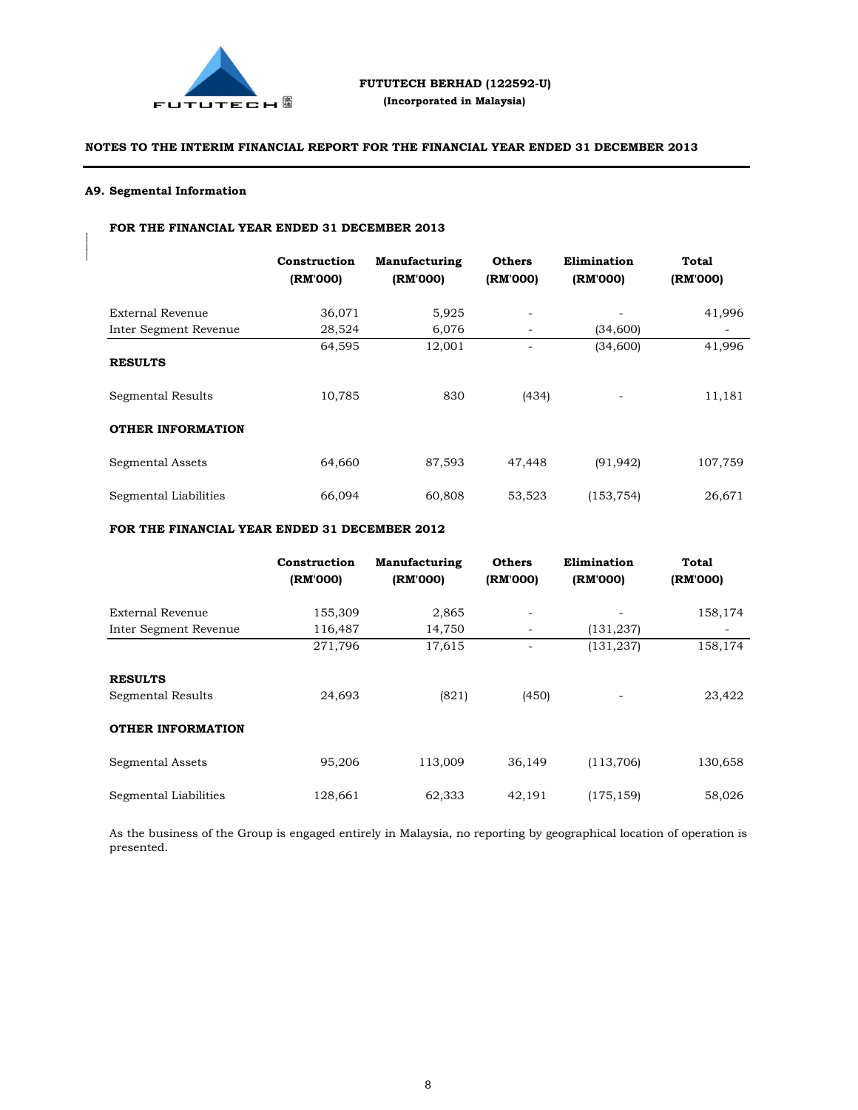

### **A9. Segmental Information**

Proposed UtilisationActual UtilisationUnutilised/ (Over utilised)Intended Utilisation Period from completion (RM) Repayment of Bank Borrowings21,700,000 21,700,0000- Working Capital6,063,178 6,603,178 6,603,178 6,603,178 6,603,178 6,603,178 6,603,178 6,603,178 6,603,178 6,603 Payment of Expenses for  $\Gamma$ 

# **FOR THE FINANCIAL YEAR ENDED 31 DECEMBER 2013**

|                          | Construction<br>(RM'000) | Manufacturing<br>(RM'000) | <b>Others</b><br>(RM'000) | Elimination<br>(RM'000) | <b>Total</b><br>(RM'000) |
|--------------------------|--------------------------|---------------------------|---------------------------|-------------------------|--------------------------|
| External Revenue         | 36,071                   | 5,925                     | $\overline{\phantom{a}}$  |                         | 41,996                   |
| Inter Segment Revenue    | 28,524                   | 6,076                     | $\overline{\phantom{a}}$  | (34,600)                | -                        |
|                          | 64,595                   | 12,001                    |                           | (34,600)                | 41,996                   |
| <b>RESULTS</b>           |                          |                           |                           |                         |                          |
| Segmental Results        | 10,785                   | 830                       | (434)                     |                         | 11,181                   |
| <b>OTHER INFORMATION</b> |                          |                           |                           |                         |                          |
| Segmental Assets         | 64,660                   | 87,593                    | 47,448                    | (91, 942)               | 107,759                  |
| Segmental Liabilities    | 66,094                   | 60,808                    | 53,523                    | (153, 754)              | 26,671                   |

### **FOR THE FINANCIAL YEAR ENDED 31 DECEMBER 2012**

|                          | Construction<br>(RM'000) | Manufacturing<br>(RM'000) | <b>Others</b><br>(RM'000) | Elimination<br>(RM'000) | Total<br>(RM'000) |
|--------------------------|--------------------------|---------------------------|---------------------------|-------------------------|-------------------|
| External Revenue         | 155,309                  | 2,865                     |                           |                         | 158,174           |
| Inter Segment Revenue    | 116,487                  | 14,750                    | $\overline{\phantom{a}}$  | (131, 237)              | -                 |
|                          | 271,796                  | 17,615                    |                           | (131, 237)              | 158,174           |
| <b>RESULTS</b>           |                          |                           |                           |                         |                   |
| Segmental Results        | 24,693                   | (821)                     | (450)                     |                         | 23,422            |
| <b>OTHER INFORMATION</b> |                          |                           |                           |                         |                   |
| Segmental Assets         | 95,206                   | 113,009                   | 36,149                    | (113,706)               | 130,658           |
| Segmental Liabilities    | 128,661                  | 62,333                    | 42,191                    | (175, 159)              | 58,026            |

As the business of the Group is engaged entirely in Malaysia, no reporting by geographical location of operation is presented.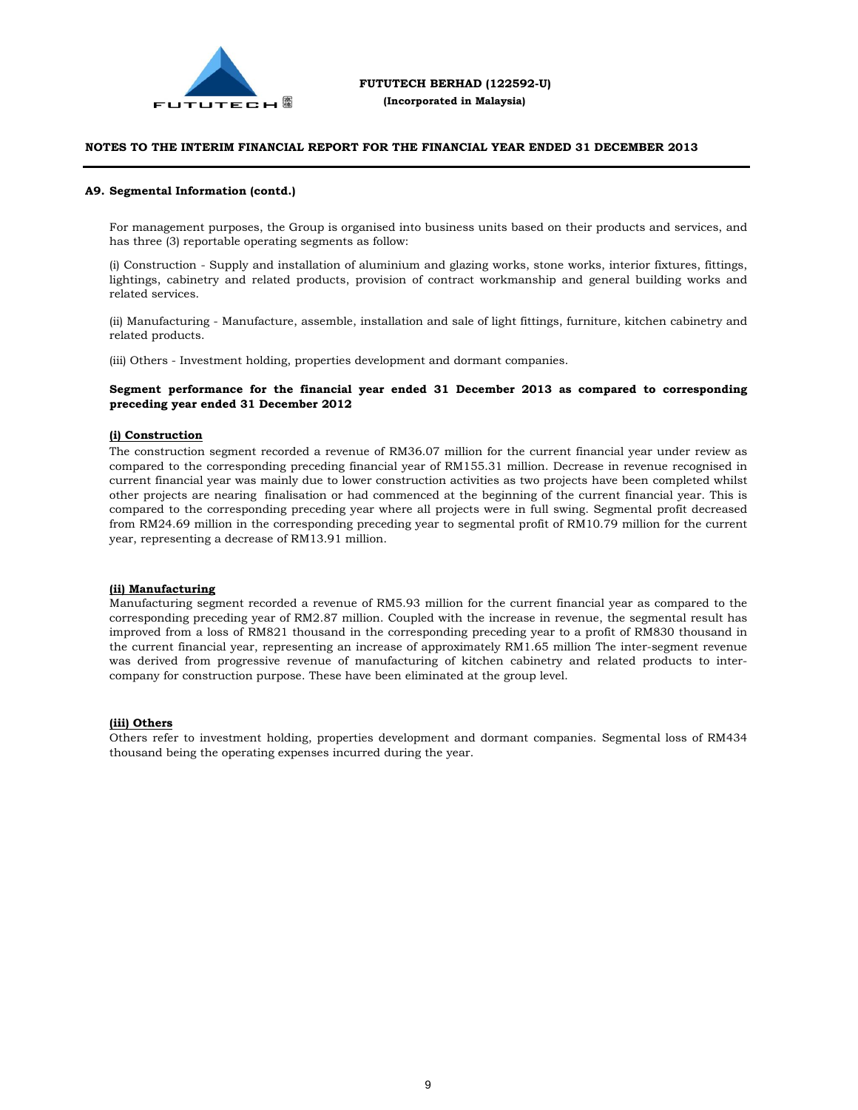

#### **A9. Segmental Information (contd.)**

For management purposes, the Group is organised into business units based on their products and services, and has three (3) reportable operating segments as follow:

(i) Construction - Supply and installation of aluminium and glazing works, stone works, interior fixtures, fittings, lightings, cabinetry and related products, provision of contract workmanship and general building works and related services.

(ii) Manufacturing - Manufacture, assemble, installation and sale of light fittings, furniture, kitchen cabinetry and related products.

(iii) Others - Investment holding, properties development and dormant companies.

#### **Segment performance for the financial year ended 31 December 2013 as compared to corresponding preceding year ended 31 December 2012**

#### **(i) Construction**

The construction segment recorded a revenue of RM36.07 million for the current financial year under review as compared to the corresponding preceding financial year of RM155.31 million. Decrease in revenue recognised in current financial year was mainly due to lower construction activities as two projects have been completed whilst other projects are nearing finalisation or had commenced at the beginning of the current financial year. This is compared to the corresponding preceding year where all projects were in full swing. Segmental profit decreased from RM24.69 million in the corresponding preceding year to segmental profit of RM10.79 million for the current year, representing a decrease of RM13.91 million.

#### **(ii) Manufacturing**

Manufacturing segment recorded a revenue of RM5.93 million for the current financial year as compared to the corresponding preceding year of RM2.87 million. Coupled with the increase in revenue, the segmental result has improved from a loss of RM821 thousand in the corresponding preceding year to a profit of RM830 thousand in the current financial year, representing an increase of approximately RM1.65 million The inter-segment revenue was derived from progressive revenue of manufacturing of kitchen cabinetry and related products to intercompany for construction purpose. These have been eliminated at the group level.

#### **(iii) Others**

Others refer to investment holding, properties development and dormant companies. Segmental loss of RM434 thousand being the operating expenses incurred during the year.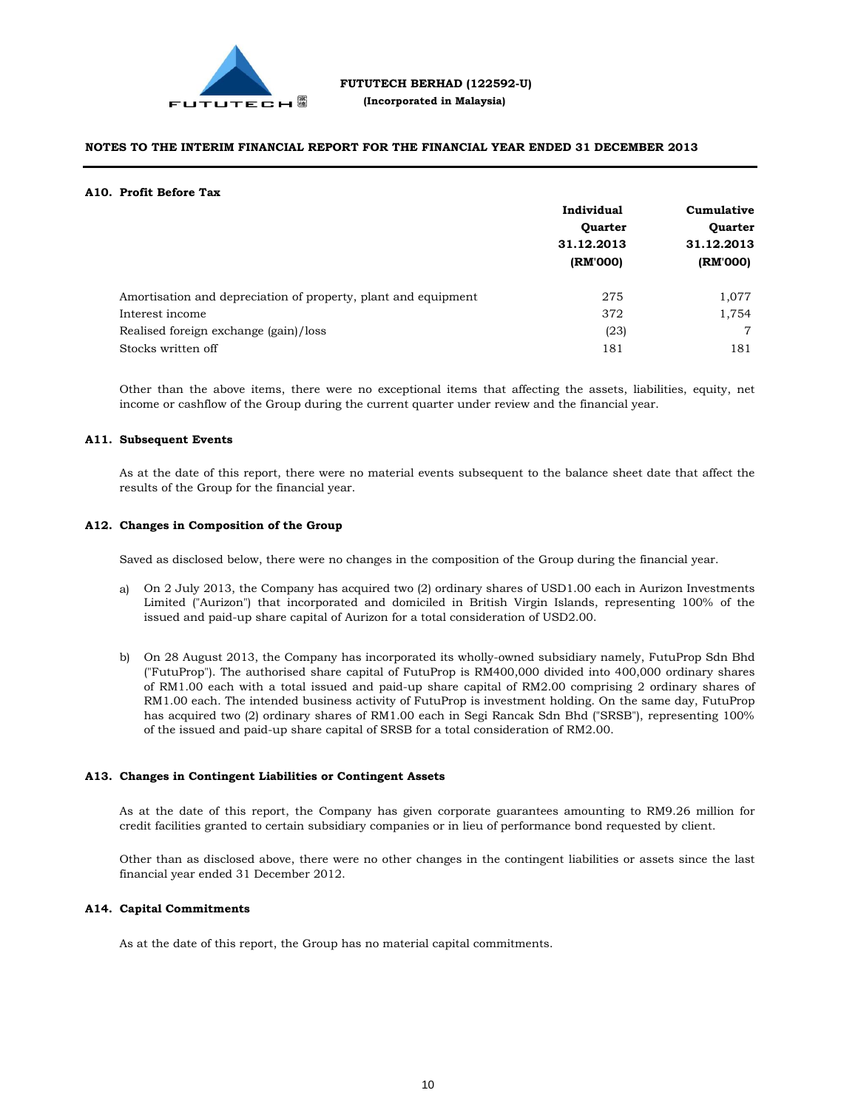

#### **A10. Profit Before Tax**

|                                                                | Individual             | Cumulative<br><b>Quarter</b> |  |
|----------------------------------------------------------------|------------------------|------------------------------|--|
|                                                                | <b>Quarter</b>         |                              |  |
|                                                                | 31.12.2013<br>(RM'000) | 31.12.2013                   |  |
|                                                                |                        | (RM'000)                     |  |
| Amortisation and depreciation of property, plant and equipment | 275                    | 1,077                        |  |
| Interest income                                                | 372                    | 1,754                        |  |
| Realised foreign exchange (gain)/loss                          | (23)                   | 7                            |  |
| Stocks written off                                             | 181                    | 181                          |  |

Other than the above items, there were no exceptional items that affecting the assets, liabilities, equity, net income or cashflow of the Group during the current quarter under review and the financial year.

#### **A11. Subsequent Events**

As at the date of this report, there were no material events subsequent to the balance sheet date that affect the results of the Group for the financial year.

#### **A12. Changes in Composition of the Group**

Saved as disclosed below, there were no changes in the composition of the Group during the financial year.

- a) On 2 July 2013, the Company has acquired two (2) ordinary shares of USD1.00 each in Aurizon Investments Limited ("Aurizon") that incorporated and domiciled in British Virgin Islands, representing 100% of the issued and paid-up share capital of Aurizon for a total consideration of USD2.00.
- b) On 28 August 2013, the Company has incorporated its wholly-owned subsidiary namely, FutuProp Sdn Bhd ("FutuProp"). The authorised share capital of FutuProp is RM400,000 divided into 400,000 ordinary shares of RM1.00 each with a total issued and paid-up share capital of RM2.00 comprising 2 ordinary shares of RM1.00 each. The intended business activity of FutuProp is investment holding. On the same day, FutuProp has acquired two (2) ordinary shares of RM1.00 each in Segi Rancak Sdn Bhd ("SRSB"), representing 100% of the issued and paid-up share capital of SRSB for a total consideration of RM2.00.

#### **A13. Changes in Contingent Liabilities or Contingent Assets**

As at the date of this report, the Company has given corporate guarantees amounting to RM9.26 million for credit facilities granted to certain subsidiary companies or in lieu of performance bond requested by client.

Other than as disclosed above, there were no other changes in the contingent liabilities or assets since the last financial year ended 31 December 2012.

#### **A14. Capital Commitments**

As at the date of this report, the Group has no material capital commitments.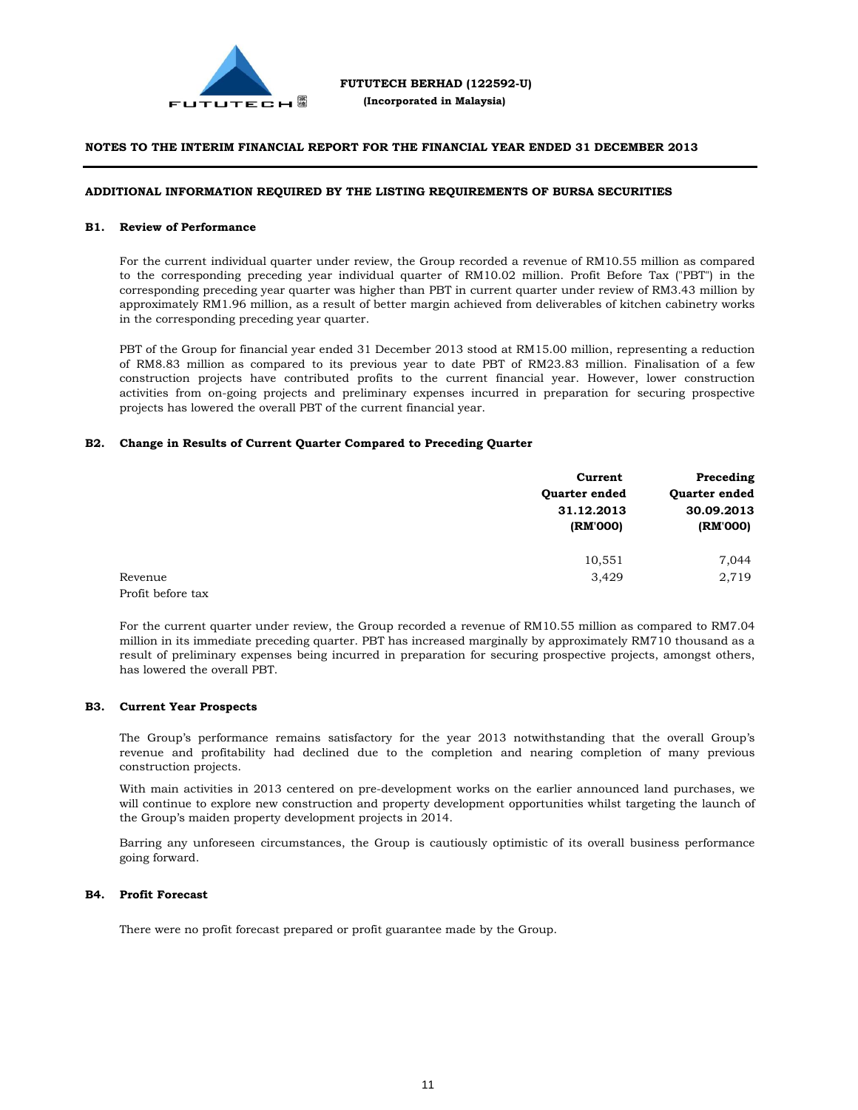

#### **ADDITIONAL INFORMATION REQUIRED BY THE LISTING REQUIREMENTS OF BURSA SECURITIES**

#### **B1. Review of Performance**

For the current individual quarter under review, the Group recorded a revenue of RM10.55 million as compared to the corresponding preceding year individual quarter of RM10.02 million. Profit Before Tax ("PBT") in the corresponding preceding year quarter was higher than PBT in current quarter under review of RM3.43 million by approximately RM1.96 million, as a result of better margin achieved from deliverables of kitchen cabinetry works in the corresponding preceding year quarter.

PBT of the Group for financial year ended 31 December 2013 stood at RM15.00 million, representing a reduction of RM8.83 million as compared to its previous year to date PBT of RM23.83 million. Finalisation of a few construction projects have contributed profits to the current financial year. However, lower construction activities from on-going projects and preliminary expenses incurred in preparation for securing prospective projects has lowered the overall PBT of the current financial year.

#### **B2. Change in Results of Current Quarter Compared to Preceding Quarter**

|                   | Current       | Preceding     |
|-------------------|---------------|---------------|
|                   | Quarter ended | Quarter ended |
|                   | 31.12.2013    | 30.09.2013    |
|                   | (RM'000)      | (RM'000)      |
|                   | 10,551        | 7,044         |
| Revenue           | 3,429         | 2,719         |
| Profit before tax |               |               |

For the current quarter under review, the Group recorded a revenue of RM10.55 million as compared to RM7.04 million in its immediate preceding quarter. PBT has increased marginally by approximately RM710 thousand as a result of preliminary expenses being incurred in preparation for securing prospective projects, amongst others, has lowered the overall PBT.

#### **B3. Current Year Prospects**

The Group's performance remains satisfactory for the year 2013 notwithstanding that the overall Group's revenue and profitability had declined due to the completion and nearing completion of many previous construction projects.

With main activities in 2013 centered on pre-development works on the earlier announced land purchases, we will continue to explore new construction and property development opportunities whilst targeting the launch of the Group's maiden property development projects in 2014.

Barring any unforeseen circumstances, the Group is cautiously optimistic of its overall business performance going forward.

#### **B4. Profit Forecast**

There were no profit forecast prepared or profit guarantee made by the Group.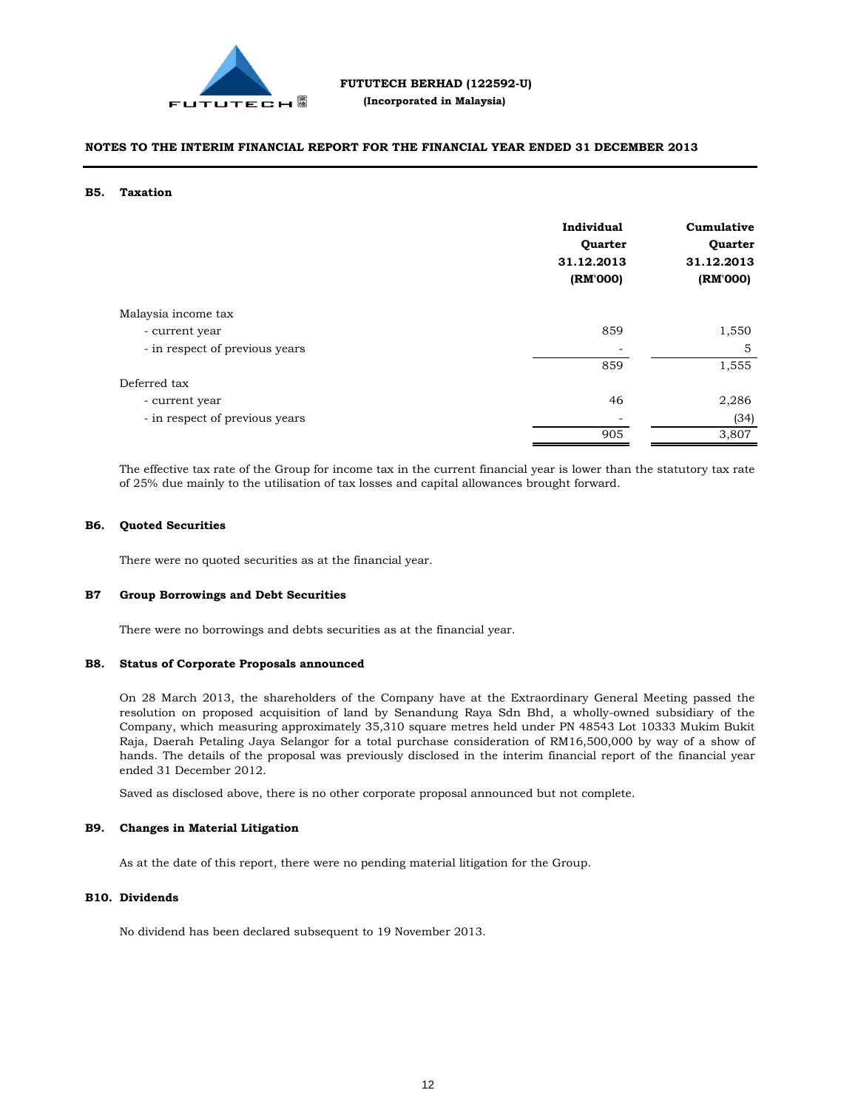

#### **B5. Taxation**

|                                | Individual<br>Quarter<br>31.12.2013<br>(RM'000) | Cumulative<br>Quarter<br>31.12.2013<br>(RM'000) |
|--------------------------------|-------------------------------------------------|-------------------------------------------------|
| Malaysia income tax            |                                                 |                                                 |
| - current year                 | 859                                             | 1,550                                           |
| - in respect of previous years | $\overline{\phantom{a}}$                        | 5                                               |
|                                | 859                                             | 1,555                                           |
| Deferred tax                   |                                                 |                                                 |
| - current year                 | 46                                              | 2,286                                           |
| - in respect of previous years |                                                 | (34)                                            |
|                                | 905                                             | 3,807                                           |

The effective tax rate of the Group for income tax in the current financial year is lower than the statutory tax rate of 25% due mainly to the utilisation of tax losses and capital allowances brought forward.

#### **B6. Quoted Securities**

There were no quoted securities as at the financial year.

#### **B7 Group Borrowings and Debt Securities**

There were no borrowings and debts securities as at the financial year.

#### **B8. Status of Corporate Proposals announced**

On 28 March 2013, the shareholders of the Company have at the Extraordinary General Meeting passed the resolution on proposed acquisition of land by Senandung Raya Sdn Bhd, a wholly-owned subsidiary of the Company, which measuring approximately 35,310 square metres held under PN 48543 Lot 10333 Mukim Bukit Raja, Daerah Petaling Jaya Selangor for a total purchase consideration of RM16,500,000 by way of a show of hands. The details of the proposal was previously disclosed in the interim financial report of the financial year ended 31 December 2012.

Saved as disclosed above, there is no other corporate proposal announced but not complete.

#### **B9. Changes in Material Litigation**

As at the date of this report, there were no pending material litigation for the Group.

#### **B10. Dividends**

No dividend has been declared subsequent to 19 November 2013.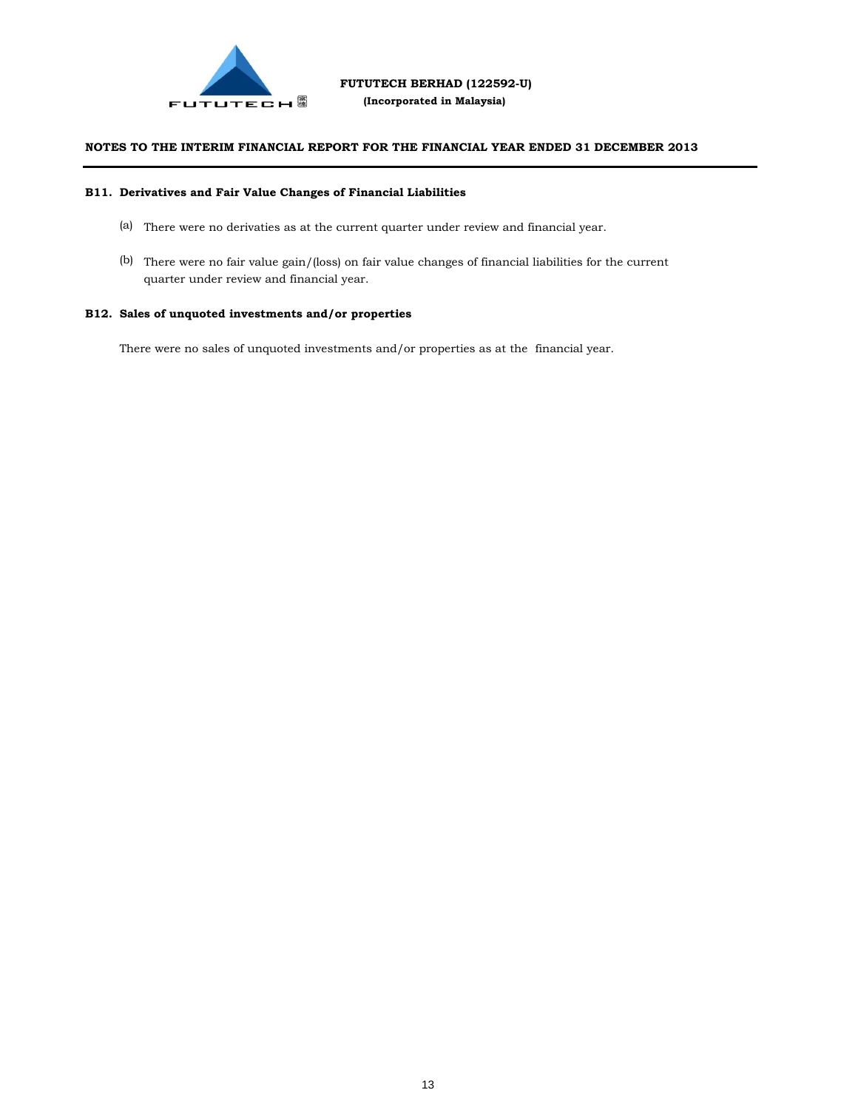

#### **B11. Derivatives and Fair Value Changes of Financial Liabilities**

- (a) There were no derivaties as at the current quarter under review and financial year.
- (b) There were no fair value gain/(loss) on fair value changes of financial liabilities for the current quarter under review and financial year.

### **B12. Sales of unquoted investments and/or properties**

There were no sales of unquoted investments and/or properties as at the financial year.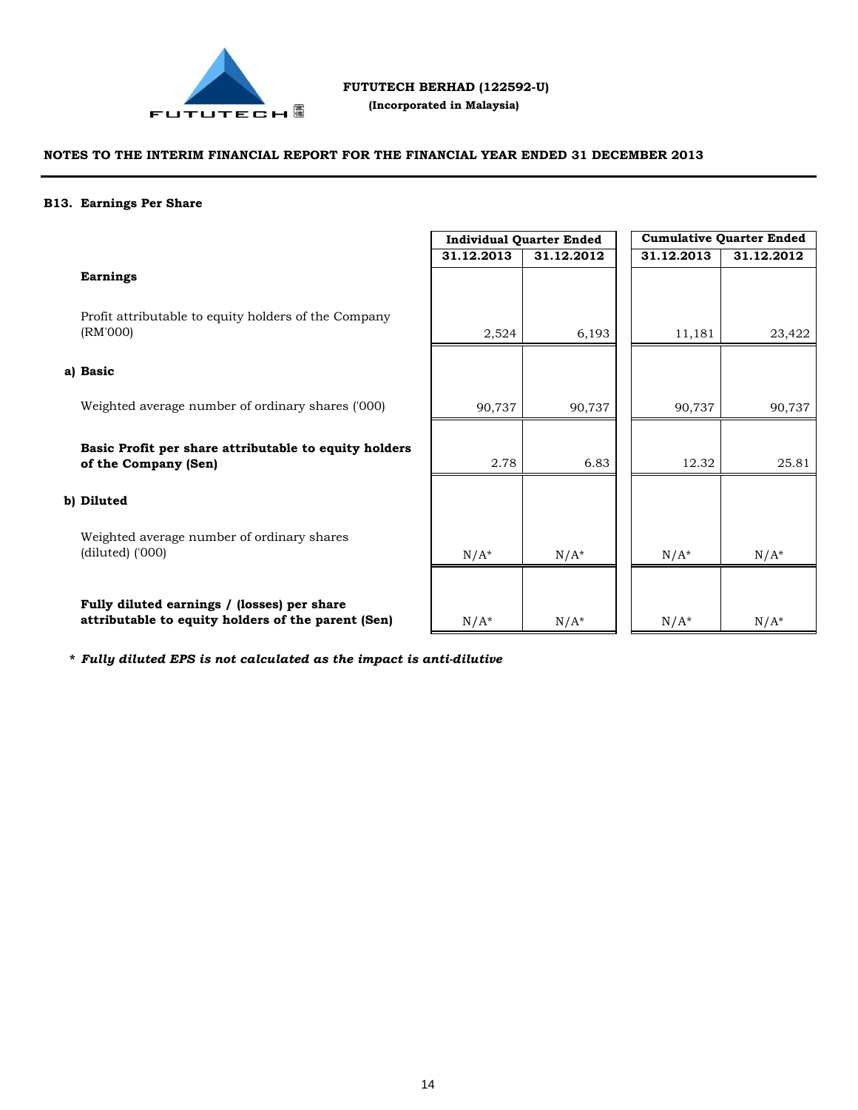

 **(Incorporated in Malaysia)**

# **NOTES TO THE INTERIM FINANCIAL REPORT FOR THE FINANCIAL YEAR ENDED 31 DECEMBER 2013**

#### **B13. Earnings Per Share**

|                                                                                                   | <b>Individual Quarter Ended</b> |            | <b>Cumulative Quarter Ended</b> |            |
|---------------------------------------------------------------------------------------------------|---------------------------------|------------|---------------------------------|------------|
|                                                                                                   | 31.12.2013                      | 31.12.2012 | 31.12.2013                      | 31.12.2012 |
| <b>Earnings</b>                                                                                   |                                 |            |                                 |            |
| Profit attributable to equity holders of the Company<br>(RM'000)                                  | 2,524                           | 6,193      | 11,181                          | 23,422     |
| a) Basic                                                                                          |                                 |            |                                 |            |
| Weighted average number of ordinary shares ('000)                                                 | 90,737                          | 90,737     | 90,737                          | 90,737     |
| Basic Profit per share attributable to equity holders<br>of the Company (Sen)                     | 2.78                            | 6.83       | 12.32                           | 25.81      |
| b) Diluted                                                                                        |                                 |            |                                 |            |
| Weighted average number of ordinary shares<br>$(diluted)$ $(000)$                                 | $N/A^*$                         | $N/A^*$    | $N/A^*$                         | $N/A^*$    |
| Fully diluted earnings / (losses) per share<br>attributable to equity holders of the parent (Sen) | $N/A^*$                         | $N/A^*$    | $N/A^*$                         | $N/A^*$    |

 $N/A^*$   $N/A^*$   $N/A^*$   $N/A^*$   $N/A^*$ 

**\*** *Fully diluted EPS is not calculated as the impact is anti-dilutive*